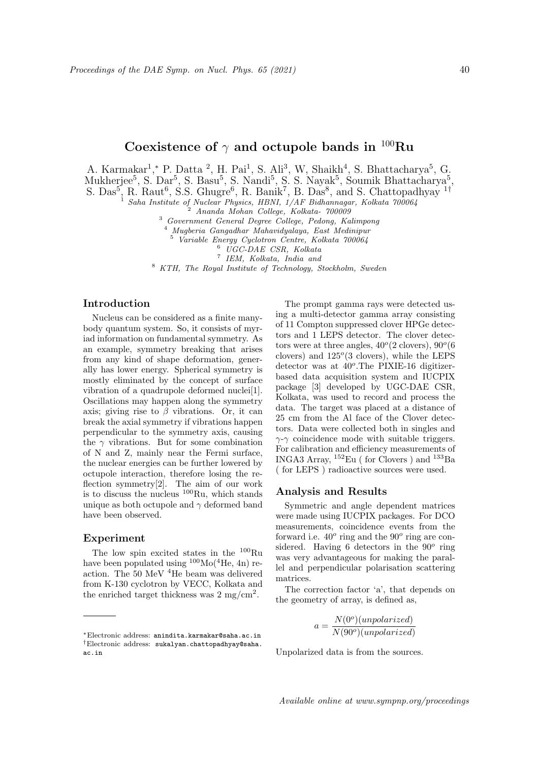# Coexistence of  $\gamma$  and octupole bands in  $100$ Ru

A. Karmakar<sup>1</sup>,\* P. Datta<sup>2</sup>, H. Pai<sup>1</sup>, S. Ali<sup>3</sup>, W, Shaikh<sup>4</sup>, S. Bhattacharya<sup>5</sup>, G. Mukherjee<sup>5</sup>, S. Dar<sup>5</sup>, S. Basu<sup>5</sup>, S. Nandi<sup>5</sup>, S. S. Nayak<sup>5</sup>, Soumik Bhattacharya<sup>5</sup>, S. Das<sup>5</sup>, R. Raut<sup>6</sup>, S.S. Ghugre<sup>6</sup>, R. Banik<sup>7</sup>, B. Das<sup>8</sup>, and S. Chattopadhyay<sup>1†</sup>

<sup>1</sup> Saha Institute of Nuclear Physics, HBNI,  $1/AF$  Bidhannagar, Kolkata 700064

<sup>2</sup> Ananda Mohan College, Kolkata- 700009

<sup>3</sup> Government General Degree College, Pedong, Kalimpong

<sup>4</sup> Mugberia Gangadhar Mahavidyalaya, East Medinipur

<sup>5</sup> Variable Energy Cyclotron Centre, Kolkata 700064

 $\begin{array}{cc} \text{{\small 6}} & UGC\text{-}DAE & CSR,~~Kolkata \ \text{{\small 7}} & IEM,~~Kolkata,~~India~~and \end{array}$ 

<sup>8</sup> KTH, The Royal Institute of Technology, Stockholm, Sweden

# Introduction

Nucleus can be considered as a finite manybody quantum system. So, it consists of myriad information on fundamental symmetry. As an example, symmetry breaking that arises from any kind of shape deformation, generally has lower energy. Spherical symmetry is mostly eliminated by the concept of surface vibration of a quadrupole deformed nuclei[1]. Oscillations may happen along the symmetry axis; giving rise to  $\beta$  vibrations. Or, it can break the axial symmetry if vibrations happen perpendicular to the symmetry axis, causing the  $\gamma$  vibrations. But for some combination of N and Z, mainly near the Fermi surface, the nuclear energies can be further lowered by octupole interaction, therefore losing the reflection symmetry[2]. The aim of our work is to discuss the nucleus <sup>100</sup>Ru, which stands unique as both octupole and  $\gamma$  deformed band have been observed.

#### Experiment

The low spin excited states in the <sup>100</sup>Ru have been populated using  $100\text{Mo}(4\text{He}, 4\text{n})$  reaction. The 50 MeV <sup>4</sup>He beam was delivered from K-130 cyclotron by VECC, Kolkata and the enriched target thickness was  $2 \text{ mg/cm}^2$ .

The prompt gamma rays were detected using a multi-detector gamma array consisting of 11 Compton suppressed clover HPGe detectors and 1 LEPS detector. The clover detectors were at three angles,  $40^{\circ}(2 \text{ clovers}), 90^{\circ}(6 \text{ s})$ clovers) and  $125^{\circ}$ (3 clovers), while the LEPS detector was at  $40^o$ . The PIXIE-16 digitizerbased data acquisition system and IUCPIX package [3] developed by UGC-DAE CSR, Kolkata, was used to record and process the data. The target was placed at a distance of 25 cm from the Al face of the Clover detectors. Data were collected both in singles and  $\gamma$ - $\gamma$  coincidence mode with suitable triggers. For calibration and efficiency measurements of INGA3 Array, <sup>152</sup>Eu ( for Clovers ) and <sup>133</sup>Ba ( for LEPS ) radioactive sources were used.

#### Analysis and Results

Symmetric and angle dependent matrices were made using IUCPIX packages. For DCO measurements, coincidence events from the forward i.e.  $40^{\circ}$  ring and the  $90^{\circ}$  ring are considered. Having  $6$  detectors in the  $90^o$  ring was very advantageous for making the parallel and perpendicular polarisation scattering matrices.

The correction factor 'a', that depends on the geometry of array, is defined as,

$$
a = \frac{N(0^o)(unpolarized)}{N(90^o)(unpolarized)}
$$

Unpolarized data is from the sources.

<sup>∗</sup>Electronic address: anindita.karmakar@saha.ac.in †Electronic address: sukalyan.chattopadhyay@saha. ac.in